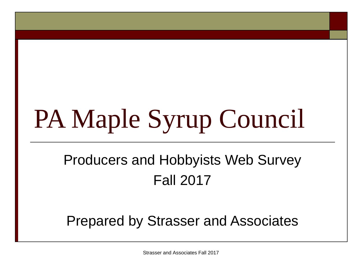# PA Maple Syrup Council

# Producers and Hobbyists Web Survey Fall 2017

#### Prepared by Strasser and Associates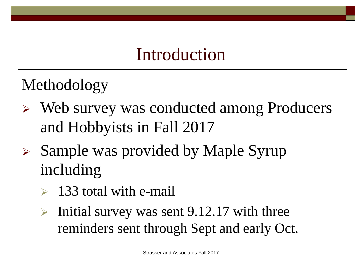# Introduction

Methodology

- Web survey was conducted among Producers and Hobbyists in Fall 2017
- $\triangleright$  Sample was provided by Maple Syrup including
	- 133 total with e-mail
	- Initial survey was sent 9.12.17 with three reminders sent through Sept and early Oct.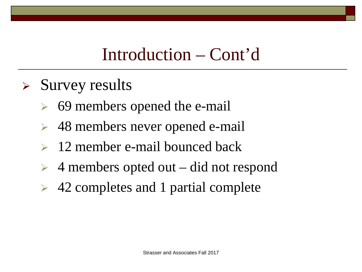# Introduction – Cont'd

- $\triangleright$  Survey results
	- $\triangleright$  69 members opened the e-mail
	- 48 members never opened e-mail
	- $\geq 12$  member e-mail bounced back
	- $\geq 4$  members opted out did not respond
	- $\triangleright$  42 completes and 1 partial complete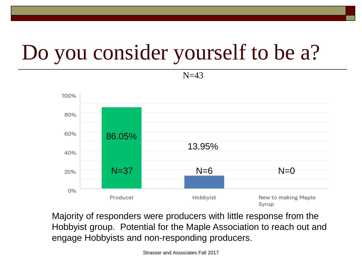# Do you consider yourself to be a?

 $N=43$ 



Majority of responders were producers with little response from the Hobbyist group. Potential for the Maple Association to reach out and engage Hobbyists and non-responding producers.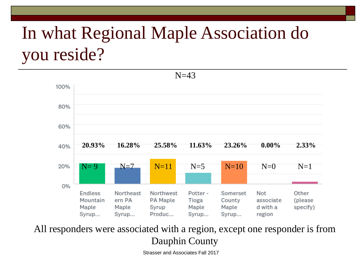# In what Regional Maple Association do you reside?



All responders were associated with a region, except one responder is from Dauphin County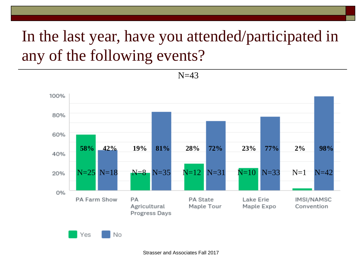# In the last year, have you attended/participated in any of the following events?

 $N=43$ 

100% 80% 60% **58% 42% 19% 81% 28% 72% 23% 77% 2% 98%** 40% N=25 N=18 N=8 N=35 N=12 N=31 N=10 N=33 N=1 N=4220% 0% PA Farm Show PA PA State Lake Erie IMSI/NAMSC Agricultural Maple Tour Maple Expo Convention Progress Days

Yes No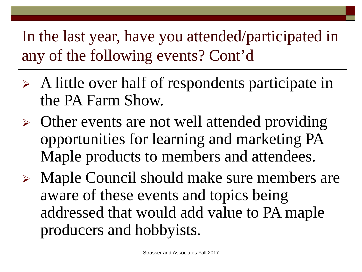In the last year, have you attended/participated in any of the following events? Cont'd

- $\triangleright$  A little over half of respondents participate in the PA Farm Show.
- $\triangleright$  Other events are not well attended providing opportunities for learning and marketing PA Maple products to members and attendees.
- Maple Council should make sure members are aware of these events and topics being addressed that would add value to PA maple producers and hobbyists.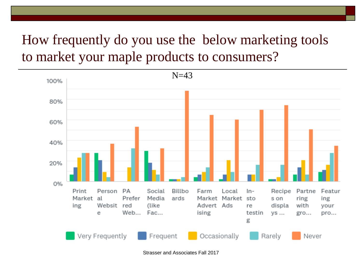#### How frequently do you use the below marketing tools to market your maple products to consumers?

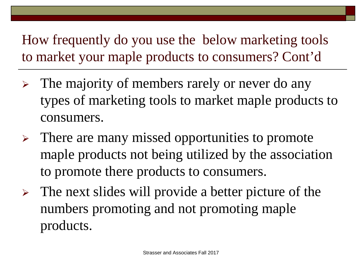How frequently do you use the below marketing tools to market your maple products to consumers? Cont'd

- $\triangleright$  The majority of members rarely or never do any types of marketing tools to market maple products to consumers.
- $\triangleright$  There are many missed opportunities to promote maple products not being utilized by the association to promote there products to consumers.
- $\triangleright$  The next slides will provide a better picture of the numbers promoting and not promoting maple products.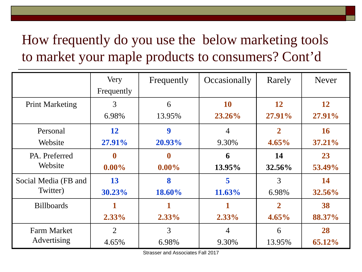## How frequently do you use the below marketing tools to market your maple products to consumers? Cont'd

|                                   | Very           | Frequently | Occasionally | Rarely         | <b>Never</b>  |
|-----------------------------------|----------------|------------|--------------|----------------|---------------|
|                                   | Frequently     |            |              |                |               |
| <b>Print Marketing</b>            | 3              | 6          | <b>10</b>    | 12             | 12            |
|                                   | 6.98%          | 13.95%     | 23.26%       | 27.91%         | 27.91%        |
| Personal                          | 12             | 9          | 4            | $\overline{2}$ | <b>16</b>     |
| Website                           | 27.91%         | 20.93%     | 9.30%        | $4.65\%$       | 37.21%        |
| PA. Preferred                     | 0              | 0          | 6            | 14             | 23            |
| Website                           | $0.00\%$       | $0.00\%$   | 13.95%       | <b>32.56%</b>  | 53.49%        |
| Social Media (FB and              | 13             | 8          | 5            | 3              | 14            |
| Twitter)                          | 30.23%         | 18.60%     | 11.63%       | 6.98%          | <b>32.56%</b> |
| <b>Billboards</b>                 |                |            |              | $\overline{2}$ | 38            |
|                                   | $2.33\%$       | $2.33\%$   | $2.33\%$     | $4.65\%$       | 88.37%        |
| <b>Farm Market</b><br>Advertising | $\overline{2}$ | 3          | 4            | 6              | 28            |
|                                   | 4.65%          | 6.98%      | 9.30%        | 13.95%         | 65.12%        |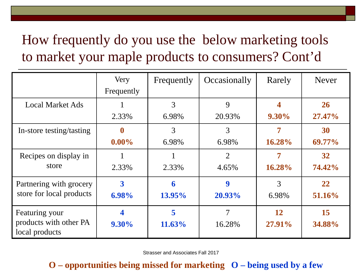### How frequently do you use the below marketing tools to market your maple products to consumers? Cont'd

|                                          | Very       | Frequently | Occasionally   | Rarely    | <b>Never</b> |
|------------------------------------------|------------|------------|----------------|-----------|--------------|
|                                          | Frequently |            |                |           |              |
| <b>Local Market Ads</b>                  |            | 3          | 9              |           | 26           |
|                                          | 2.33%      | 6.98%      | 20.93%         | 9.30%     | 27.47%       |
| In-store testing/tasting                 | $\bf{0}$   | 3          | 3              |           | 30           |
|                                          | $0.00\%$   | 6.98%      | 6.98%          | 16.28%    | 69.77%       |
| Recipes on display in                    |            |            | $\overline{2}$ |           | 32           |
| store                                    | 2.33%      | 2.33%      | 4.65%          | $16.28\%$ | 74.42%       |
| Partnering with grocery                  | 3          | 6          | 9              | 3         | 22           |
| store for local products                 | 6.98%      | 13.95%     | 20.93%         | 6.98%     | 51.16%       |
| Featuring your                           |            | 5          | 7              | 12        | 15           |
| products with other PA<br>local products | $9.30\%$   | 11.63%     | 16.28%         | 27.91%    | 34.88%       |

Strasser and Associates Fall 2017

#### **O – opportunities being missed for marketing O – being used by a few**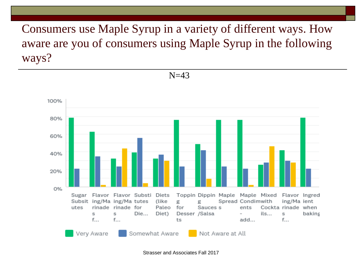Consumers use Maple Syrup in a variety of different ways. How aware are you of consumers using Maple Syrup in the following ways?

 $N=43$ 

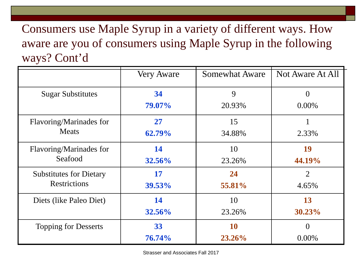Consumers use Maple Syrup in a variety of different ways. How aware are you of consumers using Maple Syrup in the following ways? Cont'd

|                                | <b>Very Aware</b> | <b>Somewhat Aware</b> | Not Aware At All |
|--------------------------------|-------------------|-----------------------|------------------|
| <b>Sugar Substitutes</b>       | 34                | 9                     |                  |
|                                | 79.07%            | 20.93%                | $0.00\%$         |
| Flavoring/Marinades for        | 27                | 15                    |                  |
| <b>Meats</b>                   | 62.79%            | 34.88%                | 2.33%            |
| Flavoring/Marinades for        | 14                | 10                    | 19               |
| Seafood                        | <b>32.56%</b>     | 23.26%                | 44.19%           |
| <b>Substitutes for Dietary</b> | 17                | 24                    | $\overline{2}$   |
| <b>Restrictions</b>            | 39.53%            | 55.81%                | 4.65%            |
| Diets (like Paleo Diet)        | 14                | 10                    | 13               |
|                                | 32.56%            | 23.26%                | 30.23%           |
| <b>Topping for Desserts</b>    | 33                | 10                    | $\Omega$         |
|                                | 76.74%            | 23.26%                | $0.00\%$         |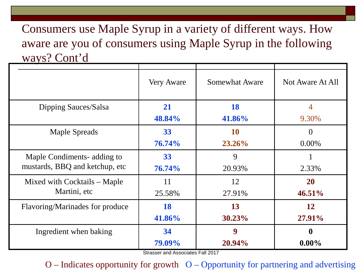Consumers use Maple Syrup in a variety of different ways. How aware are you of consumers using Maple Syrup in the following ways? Cont'd

|                                 | Very Aware | <b>Somewhat Aware</b> | Not Aware At All |
|---------------------------------|------------|-----------------------|------------------|
| Dipping Sauces/Salsa            | 21         | 18                    | 4                |
|                                 | 48.84%     | 41.86%                | 9.30%            |
| <b>Maple Spreads</b>            | 33         | <b>10</b>             | $\overline{0}$   |
|                                 | 76.74%     | 23.26%                | $0.00\%$         |
| Maple Condiments- adding to     | 33         | 9                     |                  |
| mustards, BBQ and ketchup, etc. | 76.74%     | 20.93%                | 2.33%            |
| Mixed with Cocktails – Maple    | 11         | 12                    | <b>20</b>        |
| Martini, etc                    | 25.58%     | 27.91%                | 46.51%           |
| Flavoring/Marinades for produce | 18         | 13                    | 12               |
|                                 | 41.86%     | 30.23%                | 27.91%           |
| Ingredient when baking          | 34         | 9                     | $\boldsymbol{0}$ |
|                                 | 79.09%     | 20.94%                | $0.00\%$         |

Strasser and Associates Fall 2017

 $O$  – Indicates opportunity for growth  $O$  – Opportunity for partnering and advertising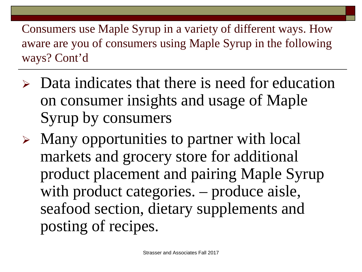Consumers use Maple Syrup in a variety of different ways. How aware are you of consumers using Maple Syrup in the following ways? Cont'd

- $\triangleright$  Data indicates that there is need for education on consumer insights and usage of Maple Syrup by consumers
- $\triangleright$  Many opportunities to partner with local markets and grocery store for additional product placement and pairing Maple Syrup with product categories. – produce aisle, seafood section, dietary supplements and posting of recipes.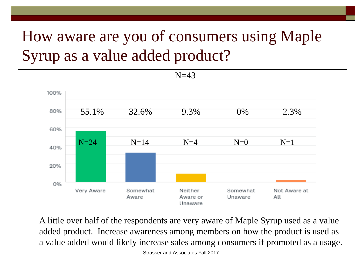# How aware are you of consumers using Maple Syrup as a value added product?



A little over half of the respondents are very aware of Maple Syrup used as a value added product. Increase awareness among members on how the product is used as a value added would likely increase sales among consumers if promoted as a usage.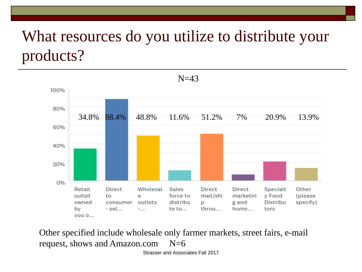# What resources do you utilize to distribute your products?



Other specified include wholesale only farmer markets, street fairs, e-mail request, shows and Amazon.com  $N=6$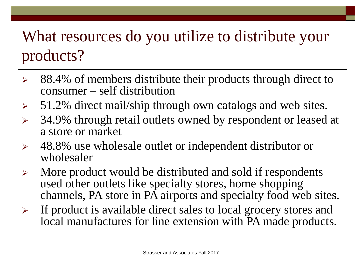# What resources do you utilize to distribute your products?

- $\geq$  88.4% of members distribute their products through direct to consumer – self distribution
- $> 51.2\%$  direct mail/ship through own catalogs and web sites.
- $\geq$  34.9% through retail outlets owned by respondent or leased at a store or market
- 48.8% use wholesale outlet or independent distributor or wholesaler
- $\triangleright$  More product would be distributed and sold if respondents used other outlets like specialty stores, home shopping channels, PA store in PA airports and specialty food web sites.
- $\triangleright$  If product is available direct sales to local grocery stores and local manufactures for line extension with PA made products.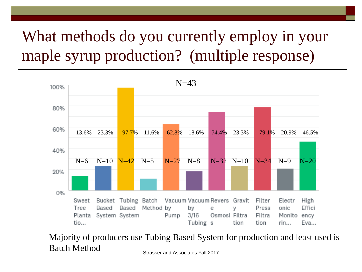# What methods do you currently employ in your maple syrup production? (multiple response)



Strasser and Associates Fall 2017 Majority of producers use Tubing Based System for production and least used is Batch Method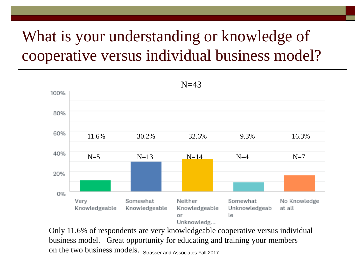# What is your understanding or knowledge of cooperative versus individual business model?



on the two business models. Strasser and Associates Fall 2017 Only 11.6% of respondents are very knowledgeable cooperative versus individual business model. Great opportunity for educating and training your members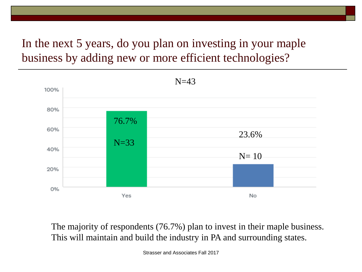#### In the next 5 years, do you plan on investing in your maple business by adding new or more efficient technologies?



The majority of respondents (76.7%) plan to invest in their maple business. This will maintain and build the industry in PA and surrounding states.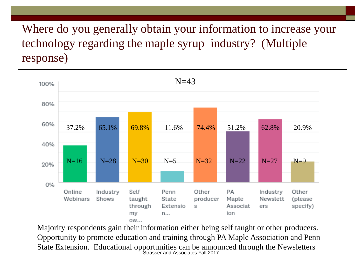Where do you generally obtain your information to increase your technology regarding the maple syrup industry? (Multiple response)



Strasser and Associates Fall 2017 Majority respondents gain their information either being self taught or other producers. Opportunity to promote education and training through PA Maple Association and Penn State Extension. Educational opportunities can be announced through the Newsletters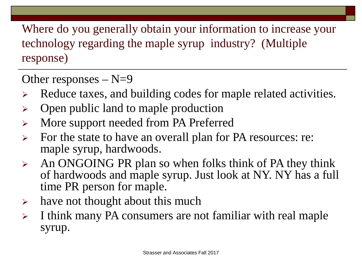Where do you generally obtain your information to increase your technology regarding the maple syrup industry? (Multiple response)

Other responses  $- N=9$ 

- $\triangleright$  Reduce taxes, and building codes for maple related activities.
- $\triangleright$  Open public land to maple production
- > More support needed from PA Preferred
- $\triangleright$  For the state to have an overall plan for PA resources: re: maple syrup, hardwoods.
- $\triangleright$  An ONGOING PR plan so when folks think of PA they think of hardwoods and maple syrup. Just look at NY. NY has a full time PR person for maple.
- $\triangleright$  have not thought about this much
- $\triangleright$  I think many PA consumers are not familiar with real maple syrup.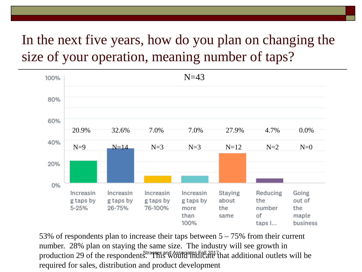#### In the next five years, how do you plan on changing the size of your operation, meaning number of taps?



production 29 of the respondents. This Would indicate that additional outlets will be 53% of respondents plan to increase their taps between 5 – 75% from their current number. 28% plan on staying the same size. The industry will see growth in required for sales, distribution and product development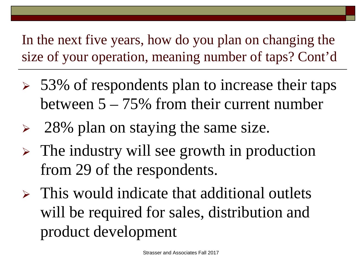In the next five years, how do you plan on changing the size of your operation, meaning number of taps? Cont'd

- $\geq 53\%$  of respondents plan to increase their taps between 5 – 75% from their current number
- $\geq$  28% plan on staying the same size.
- $\triangleright$  The industry will see growth in production from 29 of the respondents.
- $\triangleright$  This would indicate that additional outlets will be required for sales, distribution and product development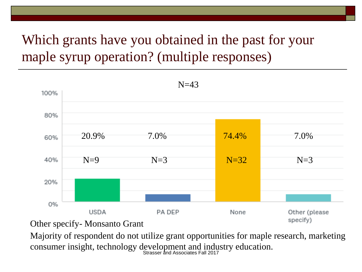#### Which grants have you obtained in the past for your maple syrup operation? (multiple responses)



Other specify- Monsanto Grant

Strasser and Associates Fall 2017 Majority of respondent do not utilize grant opportunities for maple research, marketing consumer insight, technology development and industry education.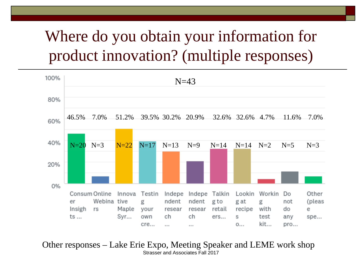# Where do you obtain your information for product innovation? (multiple responses)



Strasser and Associates Fall 2017 Other responses – Lake Erie Expo, Meeting Speaker and LEME work shop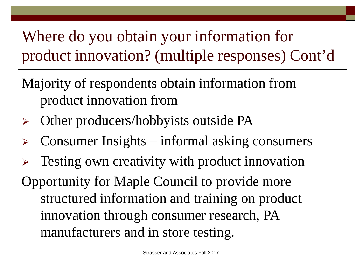Where do you obtain your information for product innovation? (multiple responses) Cont'd

Majority of respondents obtain information from product innovation from

- Other producers/hobbyists outside PA
- Consumer Insights informal asking consumers
- Testing own creativity with product innovation Opportunity for Maple Council to provide more structured information and training on product innovation through consumer research, PA manufacturers and in store testing.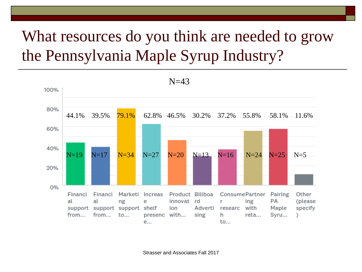# What resources do you think are needed to grow the Pennsylvania Maple Syrup Industry?

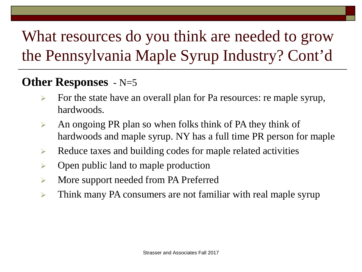# What resources do you think are needed to grow the Pennsylvania Maple Syrup Industry? Cont'd

#### **Other Responses** - N=5

- $\triangleright$  For the state have an overall plan for Pa resources: re maple syrup, hardwoods.
- $\triangleright$  An ongoing PR plan so when folks think of PA they think of hardwoods and maple syrup. NY has a full time PR person for maple
- $\triangleright$  Reduce taxes and building codes for maple related activities
- $\triangleright$  Open public land to maple production
- More support needed from PA Preferred
- **EXECUTE:** Think many PA consumers are not familiar with real maple syrup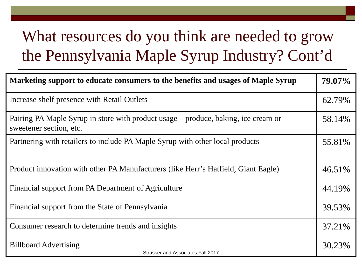# What resources do you think are needed to grow the Pennsylvania Maple Syrup Industry? Cont'd

| Marketing support to educate consumers to the benefits and usages of Maple Syrup                              | 79.07% |
|---------------------------------------------------------------------------------------------------------------|--------|
| Increase shelf presence with Retail Outlets                                                                   | 62.79% |
| Pairing PA Maple Syrup in store with product usage – produce, baking, ice cream or<br>sweetener section, etc. | 58.14% |
| Partnering with retailers to include PA Maple Syrup with other local products                                 | 55.81% |
| Product innovation with other PA Manufacturers (like Herr's Hatfield, Giant Eagle)                            | 46.51% |
| Financial support from PA Department of Agriculture                                                           | 44.19% |
| Financial support from the State of Pennsylvania                                                              | 39.53% |
| Consumer research to determine trends and insights                                                            | 37.21% |
| <b>Billboard Advertising</b><br>Strasser and Associates Fall 2017                                             | 30.23% |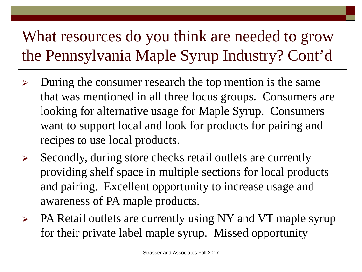# What resources do you think are needed to grow the Pennsylvania Maple Syrup Industry? Cont'd

- $\triangleright$  During the consumer research the top mention is the same that was mentioned in all three focus groups. Consumers are looking for alternative usage for Maple Syrup. Consumers want to support local and look for products for pairing and recipes to use local products.
- $\triangleright$  Secondly, during store checks retail outlets are currently providing shelf space in multiple sections for local products and pairing. Excellent opportunity to increase usage and awareness of PA maple products.
- $\triangleright$  PA Retail outlets are currently using NY and VT maple syrup for their private label maple syrup. Missed opportunity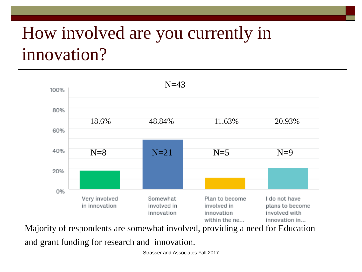# How involved are you currently in innovation?



Majority of respondents are somewhat involved, providing a need for Education and grant funding for research and innovation.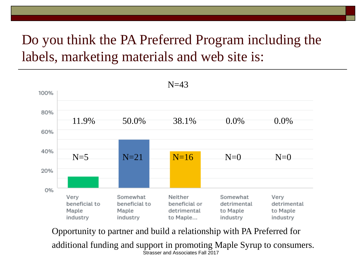#### Do you think the PA Preferred Program including the labels, marketing materials and web site is:



Strasser and Associates Fall 2017 Opportunity to partner and build a relationship with PA Preferred for additional funding and support in promoting Maple Syrup to consumers.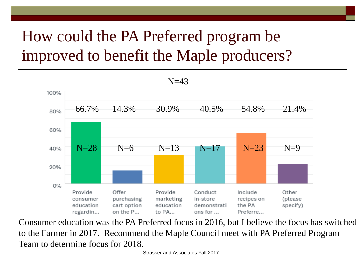# How could the PA Preferred program be improved to benefit the Maple producers?



Consumer education was the PA Preferred focus in 2016, but I believe the focus has switched to the Farmer in 2017. Recommend the Maple Council meet with PA Preferred Program Team to determine focus for 2018.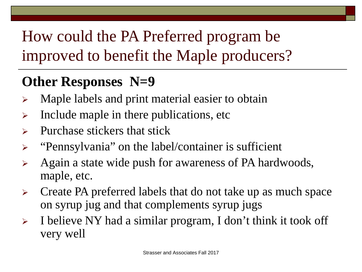# How could the PA Preferred program be improved to benefit the Maple producers?

## **Other Responses N=9**

- $\triangleright$  Maple labels and print material easier to obtain
- $\triangleright$  Include maple in there publications, etc
- $\triangleright$  Purchase stickers that stick
- $\triangleright$  "Pennsylvania" on the label/container is sufficient
- $\triangleright$  Again a state wide push for awareness of PA hardwoods, maple, etc.
- $\triangleright$  Create PA preferred labels that do not take up as much space on syrup jug and that complements syrup jugs
- $\triangleright$  I believe NY had a similar program, I don't think it took off very well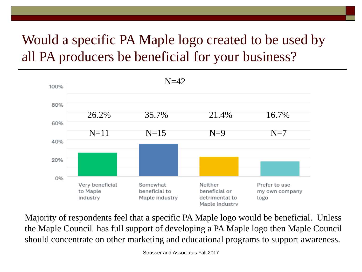### Would a specific PA Maple logo created to be used by all PA producers be beneficial for your business?



Majority of respondents feel that a specific PA Maple logo would be beneficial. Unless the Maple Council has full support of developing a PA Maple logo then Maple Council should concentrate on other marketing and educational programs to support awareness.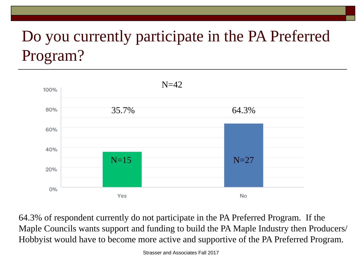# Do you currently participate in the PA Preferred Program?



64.3% of respondent currently do not participate in the PA Preferred Program. If the Maple Councils wants support and funding to build the PA Maple Industry then Producers/ Hobbyist would have to become more active and supportive of the PA Preferred Program.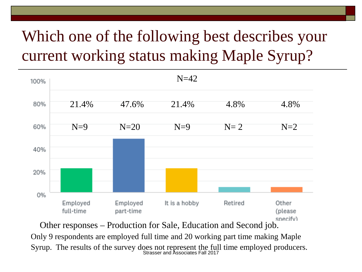# Which one of the following best describes your current working status making Maple Syrup?



Syrup. The results of the survey does not represent the full time employed producers.<br>Strasser and Associates Fall 2017 Other responses – Production for Sale, Education and Second job. Only 9 respondents are employed full time and 20 working part time making Maple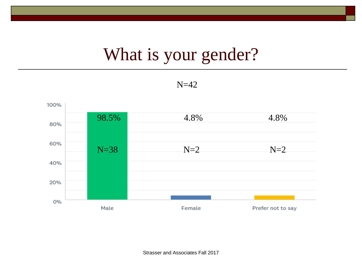# What is your gender?

 $N=42$ 

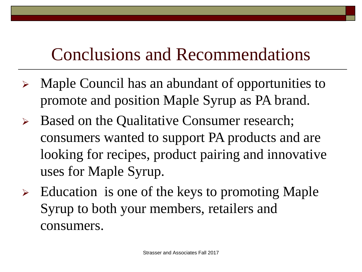- Maple Council has an abundant of opportunities to promote and position Maple Syrup as PA brand.
- Based on the Qualitative Consumer research; consumers wanted to support PA products and are looking for recipes, product pairing and innovative uses for Maple Syrup.
- Education is one of the keys to promoting Maple Syrup to both your members, retailers and consumers.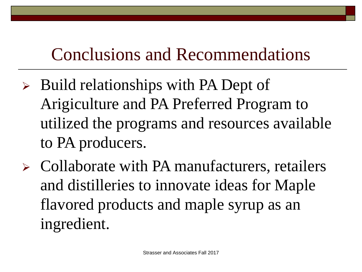- $\triangleright$  Build relationships with PA Dept of Arigiculture and PA Preferred Program to utilized the programs and resources available to PA producers.
- $\triangleright$  Collaborate with PA manufacturers, retailers and distilleries to innovate ideas for Maple flavored products and maple syrup as an ingredient.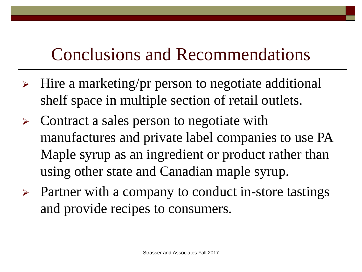- $\triangleright$  Hire a marketing/pr person to negotiate additional shelf space in multiple section of retail outlets.
- $\triangleright$  Contract a sales person to negotiate with manufactures and private label companies to use PA Maple syrup as an ingredient or product rather than using other state and Canadian maple syrup.
- $\triangleright$  Partner with a company to conduct in-store tastings and provide recipes to consumers.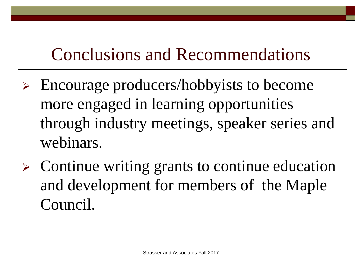- Encourage producers/hobbyists to become more engaged in learning opportunities through industry meetings, speaker series and webinars.
- $\triangleright$  Continue writing grants to continue education and development for members of the Maple Council.